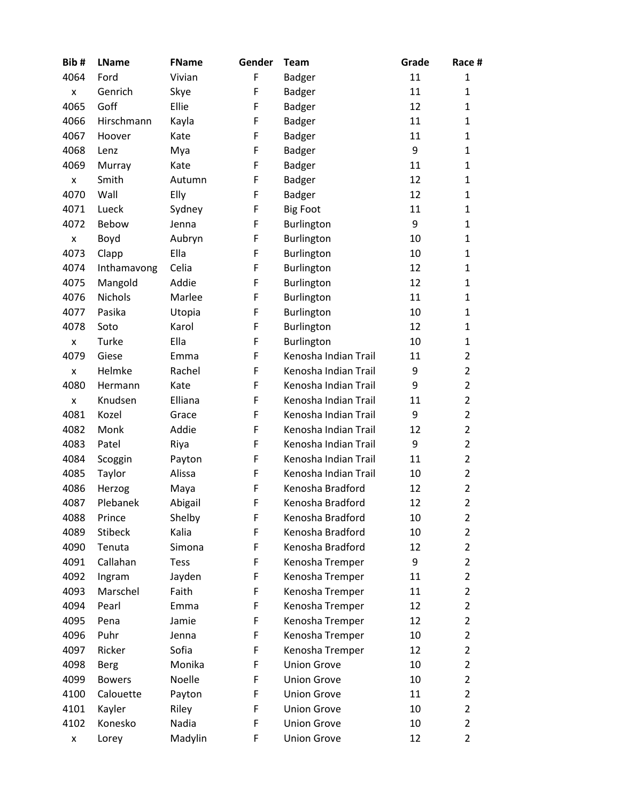| Bib# | <b>LName</b>   | <b>FName</b> | Gender | <b>Team</b>          | Grade | Race #         |
|------|----------------|--------------|--------|----------------------|-------|----------------|
| 4064 | Ford           | Vivian       | F      | <b>Badger</b>        | 11    | 1              |
| x    | Genrich        | Skye         | F      | <b>Badger</b>        | 11    | $\mathbf{1}$   |
| 4065 | Goff           | Ellie        | F      | <b>Badger</b>        | 12    | 1              |
| 4066 | Hirschmann     | Kayla        | F      | <b>Badger</b>        | 11    | 1              |
| 4067 | Hoover         | Kate         | F      | <b>Badger</b>        | 11    | $\mathbf{1}$   |
| 4068 | Lenz           | Mya          | F      | <b>Badger</b>        | 9     | 1              |
| 4069 | Murray         | Kate         | F      | <b>Badger</b>        | 11    | $\mathbf{1}$   |
| X    | Smith          | Autumn       | F      | <b>Badger</b>        | 12    | $\mathbf{1}$   |
| 4070 | Wall           | Elly         | F      | <b>Badger</b>        | 12    | 1              |
| 4071 | Lueck          | Sydney       | F      | <b>Big Foot</b>      | 11    | $\mathbf{1}$   |
| 4072 | Bebow          | Jenna        | F      | Burlington           | 9     | $\mathbf{1}$   |
| x    | Boyd           | Aubryn       | F      | Burlington           | 10    | 1              |
| 4073 | Clapp          | Ella         | F      | Burlington           | 10    | 1              |
| 4074 | Inthamavong    | Celia        | F      | Burlington           | 12    | $\mathbf{1}$   |
| 4075 | Mangold        | Addie        | F      | Burlington           | 12    | 1              |
| 4076 | <b>Nichols</b> | Marlee       | F      | Burlington           | 11    | 1              |
| 4077 | Pasika         | Utopia       | F      | Burlington           | 10    | 1              |
| 4078 | Soto           | Karol        | F      | Burlington           | 12    | 1              |
| x    | Turke          | Ella         | F      | Burlington           | 10    | $\mathbf{1}$   |
| 4079 | Giese          | Emma         | F      | Kenosha Indian Trail | 11    | $\overline{2}$ |
| x    | Helmke         | Rachel       | F      | Kenosha Indian Trail | 9     | $\overline{2}$ |
| 4080 | Hermann        | Kate         | F      | Kenosha Indian Trail | 9     | $\overline{2}$ |
| X    | Knudsen        | Elliana      | F      | Kenosha Indian Trail | 11    | $\overline{2}$ |
| 4081 | Kozel          | Grace        | F      | Kenosha Indian Trail | 9     | $\overline{2}$ |
| 4082 | Monk           | Addie        | F      | Kenosha Indian Trail | 12    | $\overline{2}$ |
| 4083 | Patel          | Riya         | F      | Kenosha Indian Trail | 9     | $\overline{2}$ |
| 4084 | Scoggin        | Payton       | F      | Kenosha Indian Trail | 11    | $\overline{2}$ |
| 4085 | Taylor         | Alissa       | F      | Kenosha Indian Trail | 10    | $\overline{2}$ |
| 4086 | Herzog         | Maya         | F      | Kenosha Bradford     | 12    | $\overline{2}$ |
| 4087 | Plebanek       | Abigail      | F      | Kenosha Bradford     | 12    | $\overline{2}$ |
| 4088 | Prince         | Shelby       | F      | Kenosha Bradford     | 10    | $\overline{2}$ |
| 4089 | <b>Stibeck</b> | Kalia        | F      | Kenosha Bradford     | 10    | 2              |
| 4090 | Tenuta         | Simona       | F      | Kenosha Bradford     | 12    | $\overline{2}$ |
| 4091 | Callahan       | <b>Tess</b>  | F      | Kenosha Tremper      | 9     | $\overline{2}$ |
| 4092 | Ingram         | Jayden       | F      | Kenosha Tremper      | 11    | $\overline{2}$ |
| 4093 | Marschel       | Faith        | F      | Kenosha Tremper      | 11    | 2              |
| 4094 | Pearl          | Emma         | F      | Kenosha Tremper      | 12    | $\overline{2}$ |
| 4095 | Pena           | Jamie        | F      | Kenosha Tremper      | 12    | $\overline{2}$ |
| 4096 | Puhr           | Jenna        | F      | Kenosha Tremper      | 10    | $\overline{2}$ |
| 4097 | Ricker         | Sofia        | F      | Kenosha Tremper      | 12    | $\overline{2}$ |
| 4098 | Berg           | Monika       | F      | <b>Union Grove</b>   | 10    | $\overline{2}$ |
| 4099 | <b>Bowers</b>  | Noelle       | F      | <b>Union Grove</b>   | 10    | $\overline{2}$ |
| 4100 | Calouette      | Payton       | F      | <b>Union Grove</b>   | 11    | $\overline{2}$ |
| 4101 | Kayler         | Riley        | F      | <b>Union Grove</b>   | 10    | $\overline{2}$ |
| 4102 | Konesko        | Nadia        | F      | <b>Union Grove</b>   | 10    | $\overline{2}$ |
| x    | Lorey          | Madylin      | F      | <b>Union Grove</b>   | 12    | $\overline{2}$ |